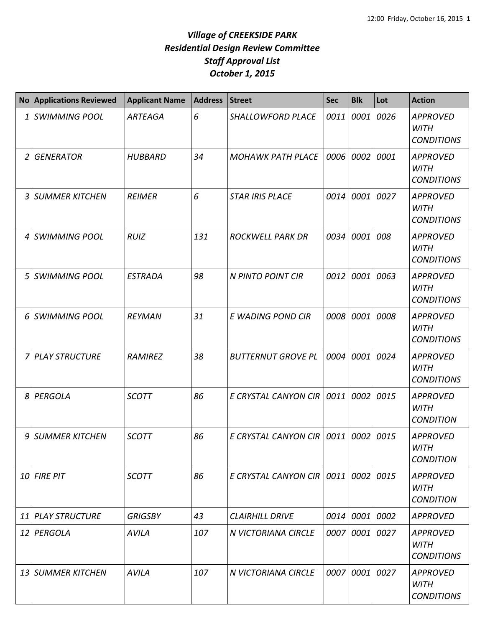## *Village of CREEKSIDE PARK Residential Design Review Committee Staff Approval List October 1, 2015*

| <b>No</b> | <b>Applications Reviewed</b> | <b>Applicant Name</b> | <b>Address</b> | <b>Street</b>               | <b>Sec</b> | <b>Blk</b> | Lot  | <b>Action</b>                                       |
|-----------|------------------------------|-----------------------|----------------|-----------------------------|------------|------------|------|-----------------------------------------------------|
| 1         | <b>SWIMMING POOL</b>         | <b>ARTEAGA</b>        | 6              | <b>SHALLOWFORD PLACE</b>    | 0011       | 0001       | 0026 | <b>APPROVED</b><br><b>WITH</b><br><b>CONDITIONS</b> |
| 2         | <b>GENERATOR</b>             | <b>HUBBARD</b>        | 34             | <b>MOHAWK PATH PLACE</b>    | 0006       | 0002       | 0001 | <b>APPROVED</b><br><b>WITH</b><br><b>CONDITIONS</b> |
| 3         | <b>SUMMER KITCHEN</b>        | <b>REIMER</b>         | 6              | <b>STAR IRIS PLACE</b>      | 0014       | 0001       | 0027 | <b>APPROVED</b><br><b>WITH</b><br><b>CONDITIONS</b> |
| 4         | <b>SWIMMING POOL</b>         | <b>RUIZ</b>           | 131            | <b>ROCKWELL PARK DR</b>     | 0034       | 0001       | 008  | <b>APPROVED</b><br><b>WITH</b><br><b>CONDITIONS</b> |
| 5         | <b>SWIMMING POOL</b>         | <b>ESTRADA</b>        | 98             | N PINTO POINT CIR           | 0012       | 0001       | 0063 | <b>APPROVED</b><br><b>WITH</b><br><b>CONDITIONS</b> |
| 6         | <b>SWIMMING POOL</b>         | <b>REYMAN</b>         | 31             | E WADING POND CIR           | 0008       | 0001       | 0008 | <b>APPROVED</b><br><b>WITH</b><br><b>CONDITIONS</b> |
| 7         | <b>PLAY STRUCTURE</b>        | <b>RAMIREZ</b>        | 38             | <b>BUTTERNUT GROVE PL</b>   | 0004       | 0001       | 0024 | <b>APPROVED</b><br><b>WITH</b><br><b>CONDITIONS</b> |
| 8         | PERGOLA                      | <b>SCOTT</b>          | 86             | E CRYSTAL CANYON CIR        | 0011       | 0002       | 0015 | <b>APPROVED</b><br><b>WITH</b><br><b>CONDITION</b>  |
| 9         | <b>SUMMER KITCHEN</b>        | <b>SCOTT</b>          | 86             | E CRYSTAL CANYON CIR        | 0011       | 0002       | 0015 | <b>APPROVED</b><br><b>WITH</b><br><b>CONDITION</b>  |
|           | 10 FIRE PIT                  | <b>SCOTT</b>          | 86             | E CRYSTAL CANYON CIR   0011 |            | 0002 0015  |      | <b>APPROVED</b><br><b>WITH</b><br><b>CONDITION</b>  |
| 11        | <b>PLAY STRUCTURE</b>        | <b>GRIGSBY</b>        | 43             | <b>CLAIRHILL DRIVE</b>      | 0014       | 0001 0002  |      | <b>APPROVED</b>                                     |
| 12        | PERGOLA                      | <b>AVILA</b>          | 107            | N VICTORIANA CIRCLE         | 0007       | 0001 0027  |      | <b>APPROVED</b><br>WITH<br><b>CONDITIONS</b>        |
| 13        | <b>SUMMER KITCHEN</b>        | <b>AVILA</b>          | 107            | N VICTORIANA CIRCLE         | 0007       | 0001 0027  |      | <b>APPROVED</b><br><b>WITH</b><br><b>CONDITIONS</b> |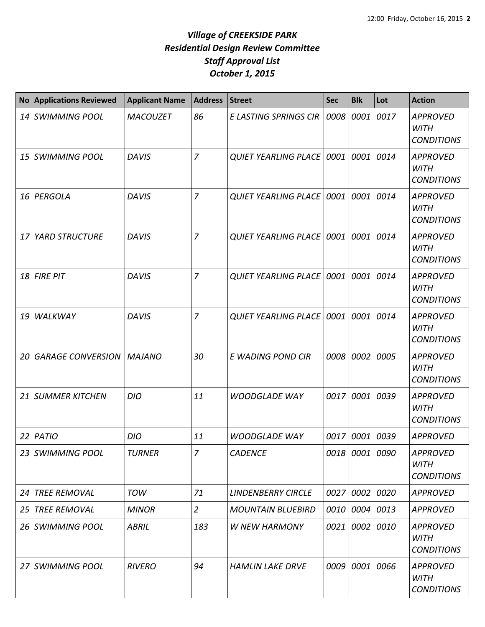## *Village of CREEKSIDE PARK Residential Design Review Committee Staff Approval List October 1, 2015*

| <b>No</b>       | <b>Applications Reviewed</b>      | <b>Applicant Name</b> | <b>Address</b> | <b>Street</b>                        | <b>Sec</b> | <b>Blk</b>     | Lot  | <b>Action</b>                                       |
|-----------------|-----------------------------------|-----------------------|----------------|--------------------------------------|------------|----------------|------|-----------------------------------------------------|
|                 | 14 SWIMMING POOL                  | <b>MACOUZET</b>       | 86             | <b>E LASTING SPRINGS CIR</b>         | 0008       | 0001           | 0017 | <b>APPROVED</b><br><b>WITH</b><br><b>CONDITIONS</b> |
| 15 <sup>1</sup> | <b>SWIMMING POOL</b>              | <b>DAVIS</b>          | $\overline{7}$ | <b>QUIET YEARLING PLACE   0001  </b> |            | 0001           | 0014 | <b>APPROVED</b><br><b>WITH</b><br><b>CONDITIONS</b> |
| 16              | PERGOLA                           | <b>DAVIS</b>          | $\overline{7}$ | <b>QUIET YEARLING PLACE 0001</b>     |            | 0001           | 0014 | <b>APPROVED</b><br><b>WITH</b><br><b>CONDITIONS</b> |
| 17              | <b>YARD STRUCTURE</b>             | <b>DAVIS</b>          | $\overline{7}$ | <b>QUIET YEARLING PLACE   0001</b>   |            | 0001           | 0014 | <b>APPROVED</b><br><b>WITH</b><br><b>CONDITIONS</b> |
| 18              | <b>FIRE PIT</b>                   | <b>DAVIS</b>          | $\overline{7}$ | <b>QUIET YEARLING PLACE   0001  </b> |            | 0001           | 0014 | <b>APPROVED</b><br><b>WITH</b><br><b>CONDITIONS</b> |
| 19              | WALKWAY                           | <b>DAVIS</b>          | $\overline{7}$ | <b>QUIET YEARLING PLACE   0001</b>   |            | 0001           | 0014 | <b>APPROVED</b><br><b>WITH</b><br><b>CONDITIONS</b> |
| 20              | <b>GARAGE CONVERSION   MAJANO</b> |                       | 30             | E WADING POND CIR                    | 0008       | 0002           | 0005 | <b>APPROVED</b><br><b>WITH</b><br><b>CONDITIONS</b> |
| 21              | <b>SUMMER KITCHEN</b>             | <b>DIO</b>            | 11             | <b>WOODGLADE WAY</b>                 | 0017       | 0001           | 0039 | <b>APPROVED</b><br><b>WITH</b><br><b>CONDITIONS</b> |
| 22              | PATIO                             | <b>DIO</b>            | 11             | <b>WOODGLADE WAY</b>                 | 0017       | 0001           | 0039 | <b>APPROVED</b>                                     |
| 23              | <b>SWIMMING POOL</b>              | <b>TURNER</b>         | 7              | <b>CADENCE</b>                       |            | 0018 0001 0090 |      | <b>APPROVED</b><br><b>WITH</b><br><b>CONDITIONS</b> |
| 24              | <b>TREE REMOVAL</b>               | <b>TOW</b>            | 71             | <b>LINDENBERRY CIRCLE</b>            |            | 0027 0002      | 0020 | <b>APPROVED</b>                                     |
| 25              | <b>TREE REMOVAL</b>               | <b>MINOR</b>          | $\overline{2}$ | <b>MOUNTAIN BLUEBIRD</b>             |            | 0010 0004 0013 |      | <b>APPROVED</b>                                     |
| 26              | <b>SWIMMING POOL</b>              | <b>ABRIL</b>          | 183            | <b>W NEW HARMONY</b>                 | 0021       | 0002           | 0010 | <b>APPROVED</b><br><b>WITH</b><br><b>CONDITIONS</b> |
|                 | 27 SWIMMING POOL                  | <b>RIVERO</b>         | 94             | <b>HAMLIN LAKE DRVE</b>              |            | 0009 0001      | 0066 | <b>APPROVED</b><br><b>WITH</b><br><b>CONDITIONS</b> |